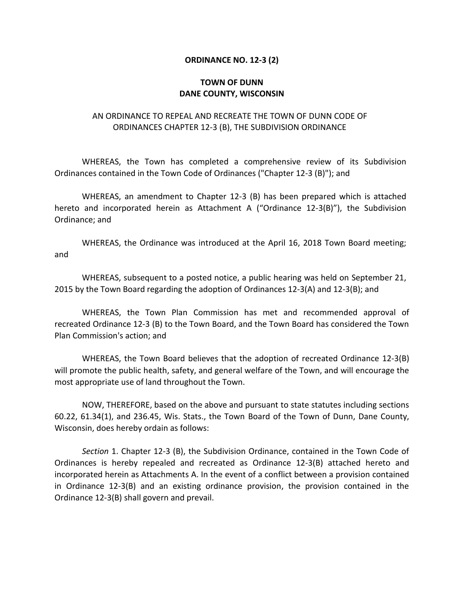## **ORDINANCE NO. 12-3 (2)**

## **TOWN OF DUNN DANE COUNTY, WISCONSIN**

## AN ORDINANCE TO REPEAL AND RECREATE THE TOWN OF DUNN CODE OF ORDINANCES CHAPTER 12-3 (B), THE SUBDIVISION ORDINANCE

WHEREAS, the Town has completed a comprehensive review of its Subdivision Ordinances contained in the Town Code of Ordinances ("Chapter 12-3 (B)"); and

WHEREAS, an amendment to Chapter 12-3 (B) has been prepared which is attached hereto and incorporated herein as Attachment A ("Ordinance 12-3(B)"), the Subdivision Ordinance; and

WHEREAS, the Ordinance was introduced at the April 16, 2018 Town Board meeting; and

WHEREAS, subsequent to a posted notice, a public hearing was held on September 21, 2015 by the Town Board regarding the adoption of Ordinances 12-3(A) and 12-3(B); and

WHEREAS, the Town Plan Commission has met and recommended approval of recreated Ordinance 12-3 (B) to the Town Board, and the Town Board has considered the Town Plan Commission's action; and

WHEREAS, the Town Board believes that the adoption of recreated Ordinance 12-3(B) will promote the public health, safety, and general welfare of the Town, and will encourage the most appropriate use of land throughout the Town.

NOW, THEREFORE, based on the above and pursuant to state statutes including sections 60.22, 61.34(1), and 236.45, Wis. Stats., the Town Board of the Town of Dunn, Dane County, Wisconsin, does hereby ordain as follows:

*Section* 1. Chapter 12-3 (B), the Subdivision Ordinance, contained in the Town Code of Ordinances is hereby repealed and recreated as Ordinance 12-3(B) attached hereto and incorporated herein as Attachments A. In the event of a conflict between a provision contained in Ordinance 12-3(B) and an existing ordinance provision, the provision contained in the Ordinance 12-3(B) shall govern and prevail.